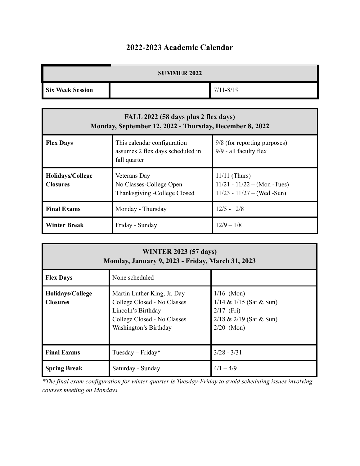## **2022-2023 Academic Calendar**

| <b>SUMMER 2022</b>      |  |               |  |
|-------------------------|--|---------------|--|
| <b>Six Week Session</b> |  | $7/11 - 8/19$ |  |

| FALL 2022 (58 days plus 2 flex days)<br>Monday, September 12, 2022 - Thursday, December 8, 2022 |                                                                                 |                                                                                    |  |  |
|-------------------------------------------------------------------------------------------------|---------------------------------------------------------------------------------|------------------------------------------------------------------------------------|--|--|
| <b>Flex Days</b>                                                                                | This calendar configuration<br>assumes 2 flex days scheduled in<br>fall quarter | 9/8 (for reporting purposes)<br>9/9 - all faculty flex                             |  |  |
| Holidays/College<br><b>Closures</b>                                                             | Veterans Day<br>No Classes-College Open<br>Thanksgiving -College Closed         | $11/11$ (Thurs)<br>$11/21 - 11/22 - (Mon - Tues)$<br>$11/23 - 11/27 - (Wed - Sun)$ |  |  |
| <b>Final Exams</b>                                                                              | Monday - Thursday                                                               | $12/5 - 12/8$                                                                      |  |  |
| <b>Winter Break</b>                                                                             | Friday - Sunday                                                                 | $12/9 - 1/8$                                                                       |  |  |

| <b>WINTER 2023 (57 days)</b><br>Monday, January 9, 2023 - Friday, March 31, 2023 |                                                                                                                                          |                                                                                                          |  |  |
|----------------------------------------------------------------------------------|------------------------------------------------------------------------------------------------------------------------------------------|----------------------------------------------------------------------------------------------------------|--|--|
| <b>Flex Days</b>                                                                 | None scheduled                                                                                                                           |                                                                                                          |  |  |
| Holidays/College<br><b>Closures</b>                                              | Martin Luther King, Jr. Day<br>College Closed - No Classes<br>Lincoln's Birthday<br>College Closed - No Classes<br>Washington's Birthday | $1/16$ (Mon)<br>$1/14 \& 1/15$ (Sat & Sun)<br>$2/17$ (Fri)<br>$2/18 \& 2/19$ (Sat & Sun)<br>$2/20$ (Mon) |  |  |
| <b>Final Exams</b>                                                               | Tuesday – Friday*                                                                                                                        | $3/28 - 3/31$                                                                                            |  |  |
| <b>Spring Break</b>                                                              | Saturday - Sunday                                                                                                                        | $4/1 - 4/9$                                                                                              |  |  |

*\*The final exam configuration for winter quarter is Tuesday-Friday to avoid scheduling issues involving courses meeting on Mondays.*